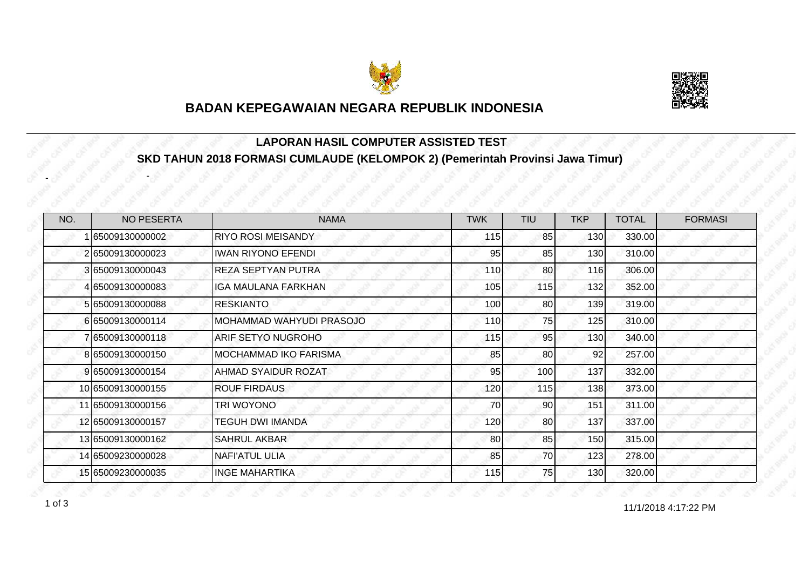



#### **LAPORAN HASIL COMPUTER ASSISTED TEST SKD TAHUN 2018 FORMASI CUMLAUDE (KELOMPOK 2) (Pemerintah Provinsi Jawa Timur)**

| NO. | <b>NO PESERTA</b> | <b>NAMA</b>               | <b>TWK</b> | TIU       | <b>TKP</b> | <b>TOTAL</b> | <b>FORMASI</b> |
|-----|-------------------|---------------------------|------------|-----------|------------|--------------|----------------|
|     | 65009130000002    | RIYO ROSI MEISANDY        | 115        | 85        | 130        | 330.00       |                |
|     | 2 65009130000023  | <b>IWAN RIYONO EFENDI</b> | 95         | 85        | 130        | 310.00       |                |
|     | 365009130000043   | <b>REZA SEPTYAN PUTRA</b> | 110        | 80        | 116        | 306.00       |                |
|     | 65009130000083    | IGA MAULANA FARKHAN       | 105        | 115       | 132        | 352.00       |                |
|     | 5 65009130000088  | <b>RESKIANTO</b>          | 100        | 80        | 139        | 319.00       |                |
|     | 6 65009130000114  | IMOHAMMAD WAHYUDI PRASOJO | <b>110</b> | <b>75</b> | 125        | 310.00       |                |
|     | 765009130000118   | <b>ARIF SETYO NUGROHO</b> | 115        | 95        | 130        | 340.00       |                |
|     | 865009130000150   | IMOCHAMMAD IKO FARISMA    | 85         | 80        | 92         | 257.00       |                |
|     | 9 65009130000154  | AHMAD SYAIDUR ROZAT       | 95         | 100       | 137        | 332.00       |                |
|     | 10 65009130000155 | <b>ROUF FIRDAUS</b>       | 120        | 115       | 138        | 373.00       |                |
|     | 11 65009130000156 | TRI WOYONO                | 70         | 90        | 151        | 311.00       |                |
|     | 12 65009130000157 | <b>TEGUH DWI IMANDA</b>   | 120        | 80        | 137        | 337.00       |                |
|     | 13 65009130000162 | <b>SAHRUL AKBAR</b>       | 80         | 85        | 150        | 315.00       |                |
|     | 14 65009230000028 | <b>NAFI'ATUL ULIA</b>     | 85         | 70        | 123        | 278.00       |                |
|     | 15 65009230000035 | IINGE MAHARTIKA           | 115        | 75        | 130        | 320.00       |                |

1 of 3 and 11/1/2018 4:17:22 PM

-

-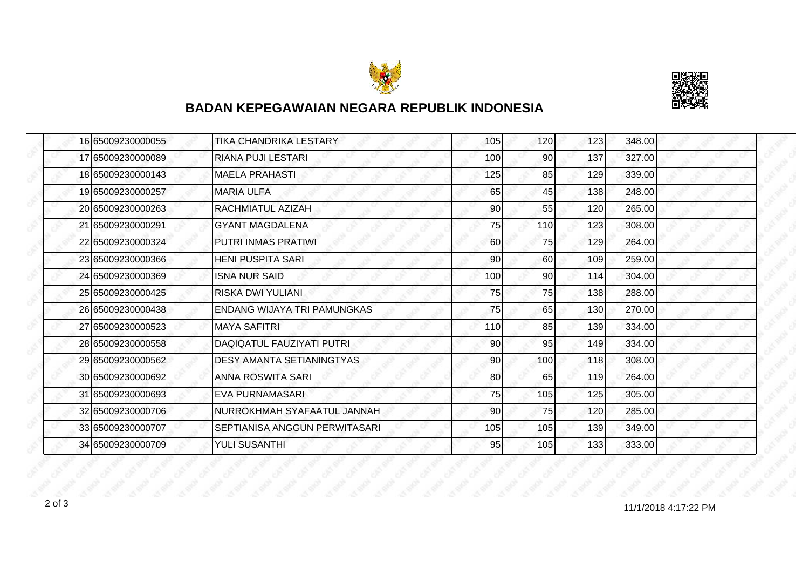



| 16 65009230000055 | TIKA CHANDRIKA LESTARY             | 105             | 120 | 123   | 348.00 |
|-------------------|------------------------------------|-----------------|-----|-------|--------|
| 17 65009230000089 | RIANA PUJI LESTARI                 | 100             | 90  | 137   | 327.00 |
| 18 65009230000143 | <b>MAELA PRAHASTI</b>              | 125             | 85  | 129   | 339.00 |
| 19165009230000257 | <b>MARIA ULFA</b>                  | 65              | 45  | 138   | 248.00 |
| 20 65009230000263 | <b>RACHMIATUL AZIZAH</b>           | 90              | 55  | 120   | 265.00 |
| 21 65009230000291 | <b>GYANT MAGDALENA</b>             | 75              | 110 | 123   | 308.00 |
| 22 65009230000324 | PUTRI INMAS PRATIWI                | 60              | 75  | 129   | 264.00 |
| 23 65009230000366 | <b>HENI PUSPITA SARI</b>           | 90              | 60  | 109   | 259.00 |
| 24 65009230000369 | <b>ISNA NUR SAID</b>               | 100             | 90  | 114   | 304.00 |
| 25 65009230000425 | <b>RISKA DWI YULIANI</b>           | 75              | 75  | 138   | 288.00 |
| 26 65009230000438 | <b>ENDANG WIJAYA TRI PAMUNGKAS</b> | 75              | 65  | 130   | 270.00 |
| 27 65009230000523 | <b>MAYA SAFITRI</b>                | <b>110</b>      | 85  | 139   | 334.00 |
| 28 65009230000558 | DAQIQATUL FAUZIYATI PUTRI          | 90 <sub>l</sub> | 95  | 149   | 334.00 |
| 29 65009230000562 | <b>DESY AMANTA SETIANINGTYAS</b>   | 90              | 100 | 118   | 308.00 |
| 30 65009230000692 | ANNA ROSWITA SARI                  | 80              | 65  | 119   | 264.00 |
| 31 65009230000693 | <b>EVA PURNAMASARI</b>             | 75              | 105 | 125   | 305.00 |
| 32 65009230000706 | INURROKHMAH SYAFAATUL JANNAH       | 90              | 75  | 120   | 285.00 |
| 33 65009230000707 | SEPTIANISA ANGGUN PERWITASARI      | 105             | 105 | 139   | 349.00 |
| 34 65009230000709 | YULI SUSANTHI                      | 95              | 105 | $133$ | 333.00 |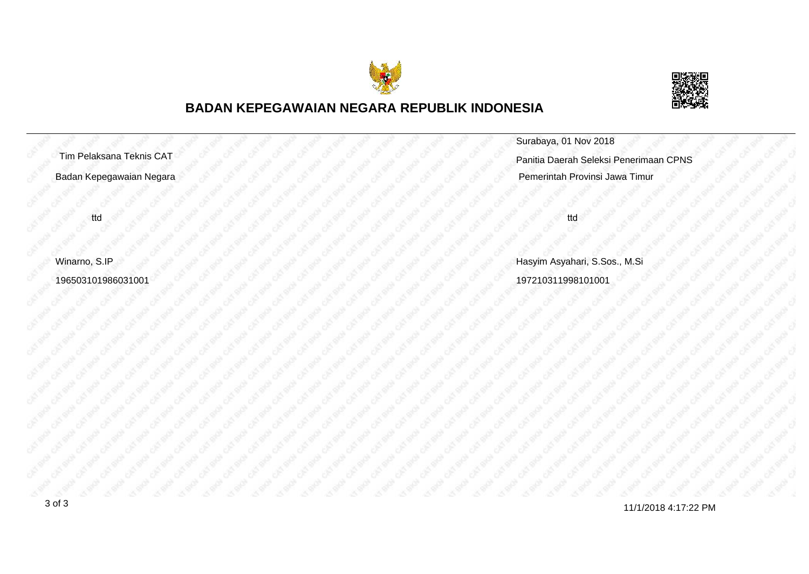



|                          | Surabaya, 01 Nov 2018                  |
|--------------------------|----------------------------------------|
| Tim Pelaksana Teknis CAT | Panitia Daerah Seleksi Penerimaan CPNS |
| Badan Kepegawaian Negara | Pemerintah Provinsi Jawa Timur         |
|                          |                                        |
| ttd                      | ttd                                    |
|                          |                                        |
| Winarno, S.IP            | Hasyim Asyahari, S.Sos., M.Si          |
| 196503101986031001       | 197210311998101001                     |
|                          |                                        |

11/1/2018 4:17:22 PM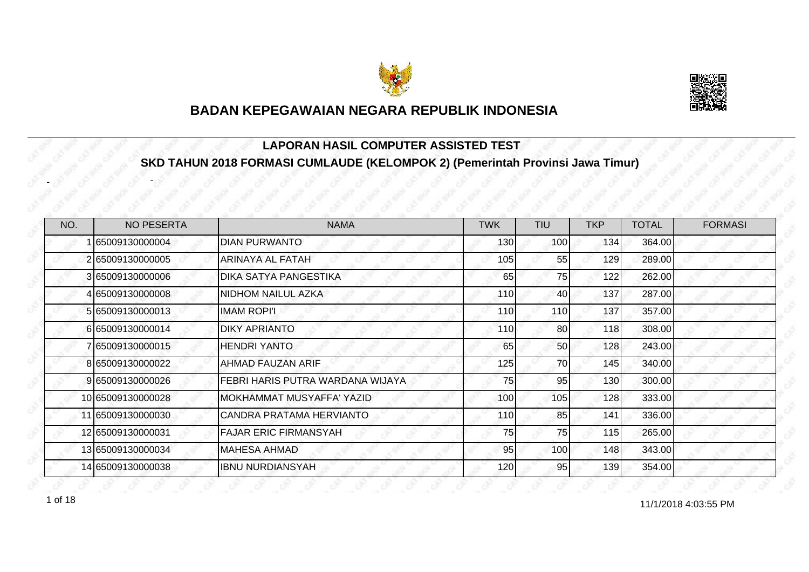



#### **LAPORAN HASIL COMPUTER ASSISTED TEST SKD TAHUN 2018 FORMASI CUMLAUDE (KELOMPOK 2) (Pemerintah Provinsi Jawa Timur)**

| NO. | <b>NO PESERTA</b> | <b>NAMA</b>                      | <b>TWK</b> | <b>TIU</b>       | <b>TKP</b> | <b>TOTAL</b> | <b>FORMASI</b> |
|-----|-------------------|----------------------------------|------------|------------------|------------|--------------|----------------|
|     | 65009130000004    | IDIAN PURWANTO                   | 130        | 100 <sup>1</sup> | 134        | 364.00       |                |
|     | 2 65009130000005  | <b>ARINAYA AL FATAH</b>          | 105        | 55               | 129        | 289.00       |                |
|     | 3 65009130000006  | DIKA SATYA PANGESTIKA            | 65         | 75               | 122        | 262.00       |                |
|     | 4 65009130000008  | NIDHOM NAILUL AZKA               | 110        | 40               | 137        | 287.00       |                |
|     | 5 65009130000013  | <b>IMAM ROPI'I</b>               | 110        | <b>110</b>       | 137        | 357.00       |                |
|     | 665009130000014   | <b>DIKY APRIANTO</b>             | 110        | 80               | 118        | 308.00       |                |
|     | 65009130000015    | <b>HENDRI YANTO</b>              | 65         | 50               | 128        | 243.00       |                |
|     | 8 65009130000022  | <b>AHMAD FAUZAN ARIF</b>         | 125        | 70               | 145        | 340.00       |                |
|     | 9 65009130000026  | FEBRI HARIS PUTRA WARDANA WIJAYA | 75         | 95               | 130        | 300.00       |                |
|     | 10 65009130000028 | MOKHAMMAT MUSYAFFA' YAZID        | 100        | 105              | 128        | 333.00       |                |
|     | 11 65009130000030 | CANDRA PRATAMA HERVIANTO         | 110        | 85               | 141        | 336.00       |                |
|     | 12 65009130000031 | <b>FAJAR ERIC FIRMANSYAH</b>     | 75         | 75               | 115        | 265.00       |                |
|     | 13 65009130000034 | MAHESA AHMAD                     | 95         | 100 <sup>1</sup> | 148        | 343.00       |                |
|     | 14 65009130000038 | IBNU NURDIANSYAH                 | 120        | 95               | 139        | 354.00       |                |

1 of 18 and 11/1/2018 4:03:55 PM

-

-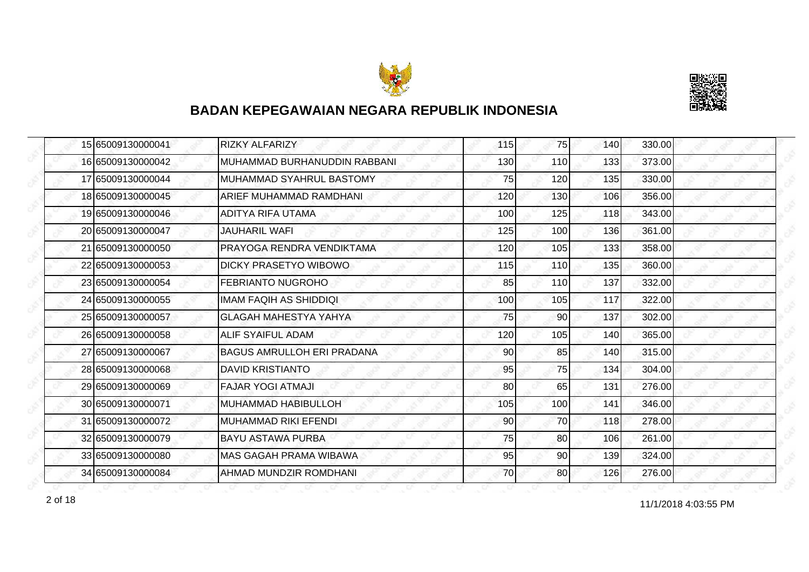



| 15 65009130000041 | <b>RIZKY ALFARIZY</b>        | 115 | 75              | 140 | 330.00 |
|-------------------|------------------------------|-----|-----------------|-----|--------|
| 16 65009130000042 | MUHAMMAD BURHANUDDIN RABBANI | 130 | 110             | 133 | 373.00 |
| 17 65009130000044 | MUHAMMAD SYAHRUL BASTOMY     | 75  | 120             | 135 | 330.00 |
| 18 65009130000045 | ARIEF MUHAMMAD RAMDHANI      | 120 | 130             | 106 | 356.00 |
| 19 65009130000046 | <b>ADITYA RIFA UTAMA</b>     | 100 | 125             | 118 | 343.00 |
| 20 65009130000047 | JAUHARIL WAFI                | 125 | 100             | 136 | 361.00 |
| 21 65009130000050 | PRAYOGA RENDRA VENDIKTAMA    | 120 | 105             | 133 | 358.00 |
| 22 65009130000053 | DICKY PRASETYO WIBOWO        | 115 | 110             | 135 | 360.00 |
| 23 65009130000054 | IFEBRIANTO NUGROHO           | 85  | 110             | 137 | 332.00 |
| 24 65009130000055 | IMAM FAQIH AS SHIDDIQI       | 100 | 105             | 117 | 322.00 |
| 25 65009130000057 | <b>GLAGAH MAHESTYA YAHYA</b> | 75  | 90              | 137 | 302.00 |
| 26 65009130000058 | IALIF SYAIFUL ADAM           | 120 | 105             | 140 | 365.00 |
| 27 65009130000067 | IBAGUS AMRULLOH ERI PRADANA  | 90  | 85              | 140 | 315.00 |
| 28 65009130000068 | <b>DAVID KRISTIANTO</b>      | 95  | 75              | 134 | 304.00 |
| 29 65009130000069 | <b>FAJAR YOGI ATMAJI</b>     | 80  | 65              | 131 | 276.00 |
| 30 65009130000071 | <b>MUHAMMAD HABIBULLOH</b>   | 105 | 100             | 141 | 346.00 |
| 31 65009130000072 | MUHAMMAD RIKI EFENDI         | 90  | 70              | 118 | 278.00 |
| 32 65009130000079 | BAYU ASTAWA PURBA            | 75  | 80              | 106 | 261.00 |
| 33 65009130000080 | IMAS GAGAH PRAMA WIBAWA      | 95  | 90              | 139 | 324.00 |
| 34 65009130000084 | AHMAD MUNDZIR ROMDHANI       | 70  | 80 <sup>1</sup> | 126 | 276.00 |

11/1/2018 4:03:55 PM 2 of 18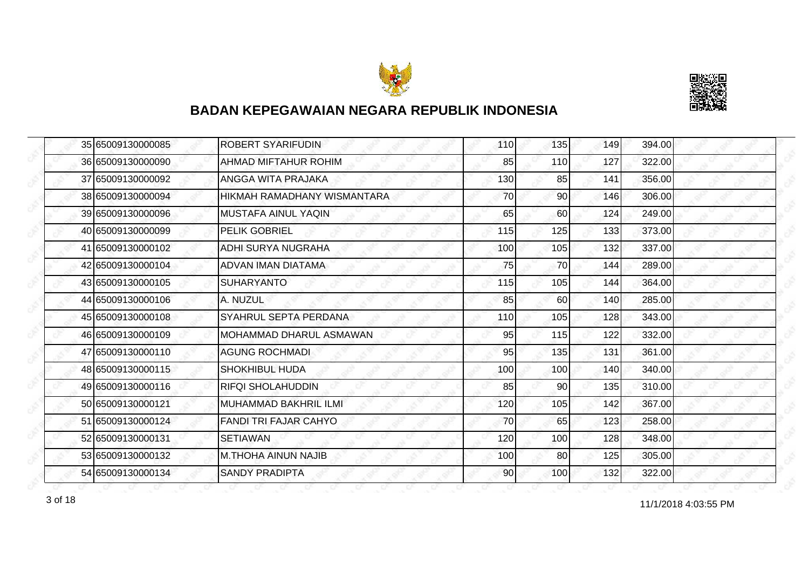



| 35 65009130000085 | <b>ROBERT SYARIFUDIN</b>     | 110 | 135        | 149 | 394.00 |
|-------------------|------------------------------|-----|------------|-----|--------|
| 36 65009130000090 | AHMAD MIFTAHUR ROHIM         | 85  | <b>110</b> | 127 | 322.00 |
| 37 65009130000092 | <b>ANGGA WITA PRAJAKA</b>    | 130 | 85         | 141 | 356.00 |
| 38 65009130000094 | HIKMAH RAMADHANY WISMANTARA  | 70  | 90         | 146 | 306.00 |
| 39 65009130000096 | <b>MUSTAFA AINUL YAQIN</b>   | 65  | 60         | 124 | 249.00 |
| 40 65009130000099 | <b>PELIK GOBRIEL</b>         | 115 | 125        | 133 | 373.00 |
| 41 65009130000102 | ADHI SURYA NUGRAHA           | 100 | 105        | 132 | 337.00 |
| 42 65009130000104 | ADVAN IMAN DIATAMA           | 75  | 70I        | 144 | 289.00 |
| 43 65009130000105 | <b>SUHARYANTO</b>            | 115 | 105        | 144 | 364.00 |
| 44 65009130000106 | A. NUZUL                     | 85  | 60         | 140 | 285.00 |
| 45 65009130000108 | SYAHRUL SEPTA PERDANA        | 110 | 105        | 128 | 343.00 |
| 46 65009130000109 | IMOHAMMAD DHARUL ASMAWAN     | 95  | 115        | 122 | 332.00 |
| 47 65009130000110 | <b>AGUNG ROCHMADI</b>        | 95  | 135        | 131 | 361.00 |
| 48 65009130000115 | <b>SHOKHIBUL HUDA</b>        | 100 | 100        | 140 | 340.00 |
| 49 65009130000116 | <b>RIFQI SHOLAHUDDIN</b>     | 85  | 90         | 135 | 310.00 |
| 50 65009130000121 | IMUHAMMAD BAKHRIL ILMI       | 120 | 105        | 142 | 367.00 |
| 51 65009130000124 | <b>FANDI TRI FAJAR CAHYO</b> | 70  | 65         | 123 | 258.00 |
| 52 65009130000131 | <b>SETIAWAN</b>              | 120 | 100        | 128 | 348.00 |
| 53 65009130000132 | IM.THOHA AINUN NAJIB         | 100 | 80         | 125 | 305.00 |
| 54 65009130000134 | <b>SANDY PRADIPTA</b>        | 90  | 100        | 132 | 322.00 |

11/1/2018 4:03:55 PM 3 of 18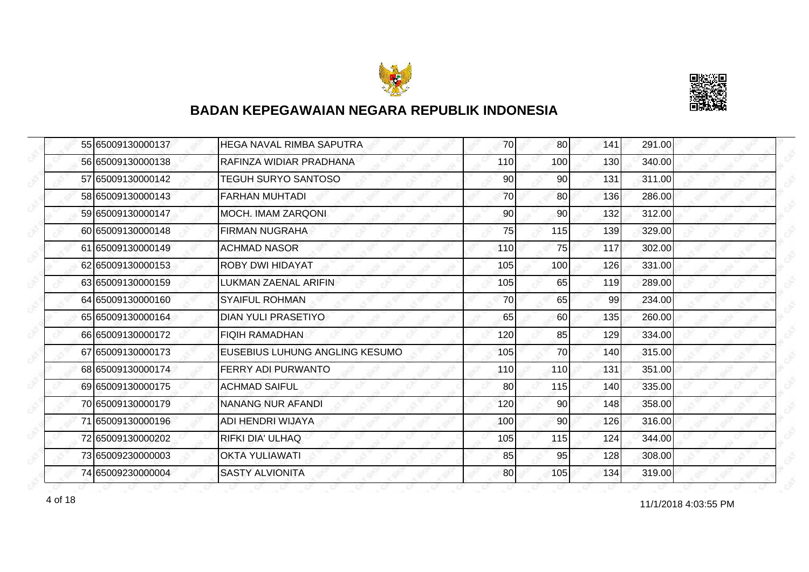



| 55 65009130000137 | IHEGA NAVAL RIMBA SAPUTRA      | 70  | 80              | 141 | 291.00 |
|-------------------|--------------------------------|-----|-----------------|-----|--------|
| 56 65009130000138 | RAFINZA WIDIAR PRADHANA        | 110 | 100             | 130 | 340.00 |
| 57 65009130000142 | <b>TEGUH SURYO SANTOSO</b>     | 90  | 90              | 131 | 311.00 |
| 58 65009130000143 | <b>FARHAN MUHTADI</b>          | 70  | 80              | 136 | 286.00 |
| 59 65009130000147 | MOCH. IMAM ZARQONI             | 90  | 90              | 132 | 312.00 |
| 60 65009130000148 | FIRMAN NUGRAHA                 | 75  | 115             | 139 | 329.00 |
| 61 65009130000149 | <b>ACHMAD NASOR</b>            | 110 | 75              | 117 | 302.00 |
| 62 65009130000153 | <b>ROBY DWI HIDAYAT</b>        | 105 | 100             | 126 | 331.00 |
| 63 65009130000159 | LUKMAN ZAENAL ARIFIN           | 105 | 65              | 119 | 289.00 |
| 64 65009130000160 | <b>SYAIFUL ROHMAN</b>          | 70  | 65              | 99  | 234.00 |
| 65 65009130000164 | <b>DIAN YULI PRASETIYO</b>     | 65  | 60              | 135 | 260.00 |
| 66 65009130000172 | <b>FIQIH RAMADHAN</b>          | 120 | 85              | 129 | 334.00 |
| 67 65009130000173 | EUSEBIUS LUHUNG ANGLING KESUMO | 105 | 70              | 140 | 315.00 |
| 68 65009130000174 | <b>FERRY ADI PURWANTO</b>      | 110 | 110             | 131 | 351.00 |
| 69 65009130000175 | <b>ACHMAD SAIFUL</b>           | 80  | 115             | 140 | 335.00 |
| 70 65009130000179 | INANANG NUR AFANDI             | 120 | 90              | 148 | 358.00 |
| 71 65009130000196 | ADI HENDRI WIJAYA              | 100 | 90 <sub>0</sub> | 126 | 316.00 |
| 72 65009130000202 | <b>RIFKI DIA' ULHAQ</b>        | 105 | 115             | 124 | 344.00 |
| 73 65009230000003 | <b>OKTA YULIAWATI</b>          | 85  | 95              | 128 | 308.00 |
| 74 65009230000004 | <b>SASTY ALVIONITA</b>         | 80  | 105             | 134 | 319.00 |

11/1/2018 4:03:55 PM 4 of 18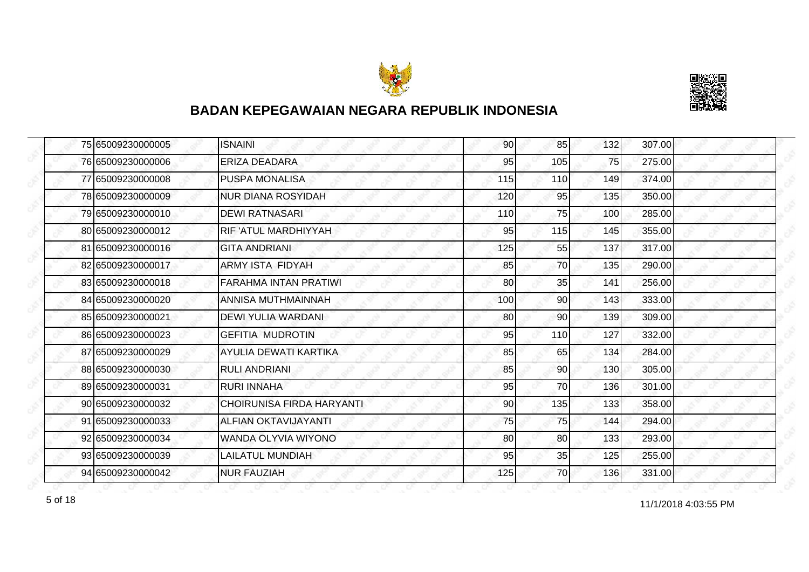



| 75 65009230000005 | <b>ISNAINI</b>                   | 90  | 85  | 132 | 307.00 |
|-------------------|----------------------------------|-----|-----|-----|--------|
| 76 65009230000006 | <b>ERIZA DEADARA</b>             | 95  | 105 | 75  | 275.00 |
| 77 65009230000008 | <b>PUSPA MONALISA</b>            | 115 | 110 | 149 | 374.00 |
| 78 65009230000009 | <b>NUR DIANA ROSYIDAH</b>        | 120 | 95  | 135 | 350.00 |
| 79 65009230000010 | <b>DEWI RATNASARI</b>            | 110 | 75  | 100 | 285.00 |
| 80 65009230000012 | <b>RIF 'ATUL MARDHIYYAH</b>      | 95  | 115 | 145 | 355.00 |
| 81 65009230000016 | <b>GITA ANDRIANI</b>             | 125 | 55  | 137 | 317.00 |
| 82 65009230000017 | <b>ARMY ISTA FIDYAH</b>          | 85  | 70  | 135 | 290.00 |
| 83 65009230000018 | <b>FARAHMA INTAN PRATIWI</b>     | 80  | 35  | 141 | 256.00 |
| 84 65009230000020 | ANNISA MUTHMAINNAH               | 100 | 90  | 143 | 333.00 |
| 85 65009230000021 | DEWI YULIA WARDANI               | 80  | 90  | 139 | 309.00 |
| 86 65009230000023 | <b>GEFITIA MUDROTIN</b>          | 95  | 110 | 127 | 332.00 |
| 87 65009230000029 | AYULIA DEWATI KARTIKA            | 85  | 65  | 134 | 284.00 |
| 88 65009230000030 | <b>RULI ANDRIANI</b>             | 85  | 90  | 130 | 305.00 |
| 89 65009230000031 | <b>RURI INNAHA</b>               | 95  | 70  | 136 | 301.00 |
| 90 65009230000032 | <b>CHOIRUNISA FIRDA HARYANTI</b> | 90  | 135 | 133 | 358.00 |
| 91 65009230000033 | ALFIAN OKTAVIJAYANTI             | 75  | 75  | 144 | 294.00 |
| 92 65009230000034 | WANDA OLYVIA WIYONO              | 80  | 80  | 133 | 293.00 |
| 93 65009230000039 | <b>LAILATUL MUNDIAH</b>          | 95  | 35  | 125 | 255.00 |
| 94 65009230000042 | <b>NUR FAUZIAH</b>               | 125 | 70  | 136 | 331.00 |

for the contract of 18 and 11/1/2018 4:03:55 PM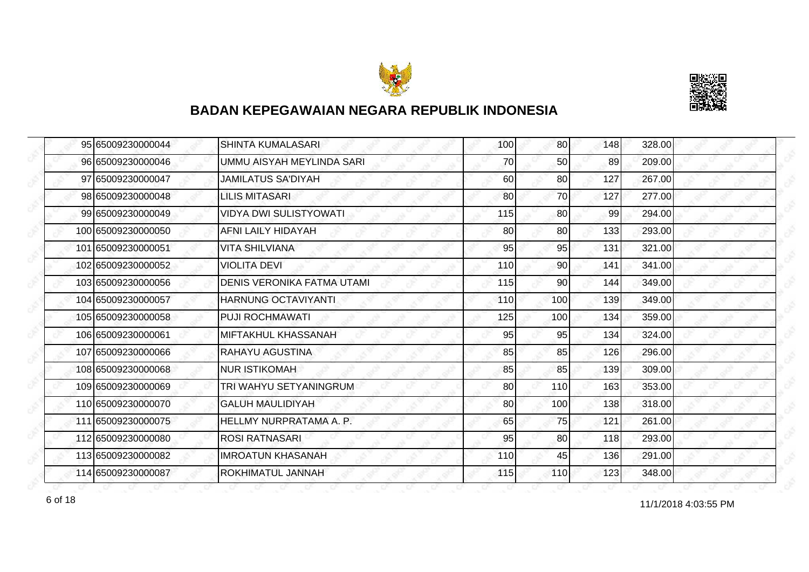



| 95 65009230000044  | <b>SHINTA KUMALASARI</b>          | 100 | 80  | 148 | 328.00 |
|--------------------|-----------------------------------|-----|-----|-----|--------|
| 96 65009230000046  | UMMU AISYAH MEYLINDA SARI         | 70  | 50  | 89  | 209.00 |
| 97 65009230000047  | <b>JAMILATUS SA'DIYAH</b>         | 60  | 80  | 127 | 267.00 |
| 98 65009230000048  | <b>LILIS MITASARI</b>             | 80  | 70  | 127 | 277.00 |
| 99 65009230000049  | <b>VIDYA DWI SULISTYOWATI</b>     | 115 | 80  | 99  | 294.00 |
| 100 65009230000050 | AFNI LAILY HIDAYAH                | 80  | 80  | 133 | 293.00 |
| 101 65009230000051 | <b>VITA SHILVIANA</b>             | 95  | 95  | 131 | 321.00 |
| 102 65009230000052 | <b>VIOLITA DEVI</b>               | 110 | 90  | 141 | 341.00 |
| 103 65009230000056 | <b>DENIS VERONIKA FATMA UTAMI</b> | 115 | 90  | 144 | 349.00 |
| 104 65009230000057 | HARNUNG OCTAVIYANTI               | 110 | 100 | 139 | 349.00 |
| 105 65009230000058 | <b>PUJI ROCHMAWATI</b>            | 125 | 100 | 134 | 359.00 |
| 106 65009230000061 | IMIFTAKHUL KHASSANAH              | 95  | 95  | 134 | 324.00 |
| 107165009230000066 | <b>RAHAYU AGUSTINA</b>            | 85  | 85  | 126 | 296.00 |
| 108 65009230000068 | <b>NUR ISTIKOMAH</b>              | 85  | 85  | 139 | 309.00 |
| 109 65009230000069 | TRI WAHYU SETYANINGRUM            | 80  | 110 | 163 | 353.00 |
| 110 65009230000070 | <b>GALUH MAULIDIYAH</b>           | 80  | 100 | 138 | 318.00 |
| 111 65009230000075 | HELLMY NURPRATAMA A. P.           | 65  | 75  | 121 | 261.00 |
| 112 65009230000080 | <b>ROSI RATNASARI</b>             | 95  | 80  | 118 | 293.00 |
| 113 65009230000082 | IMROATUN KHASANAH                 | 110 | 45  | 136 | 291.00 |
| 114 65009230000087 | <b>ROKHIMATUL JANNAH</b>          | 115 | 110 | 123 | 348.00 |

11/1/2018 4:03:55 PM 6 of 18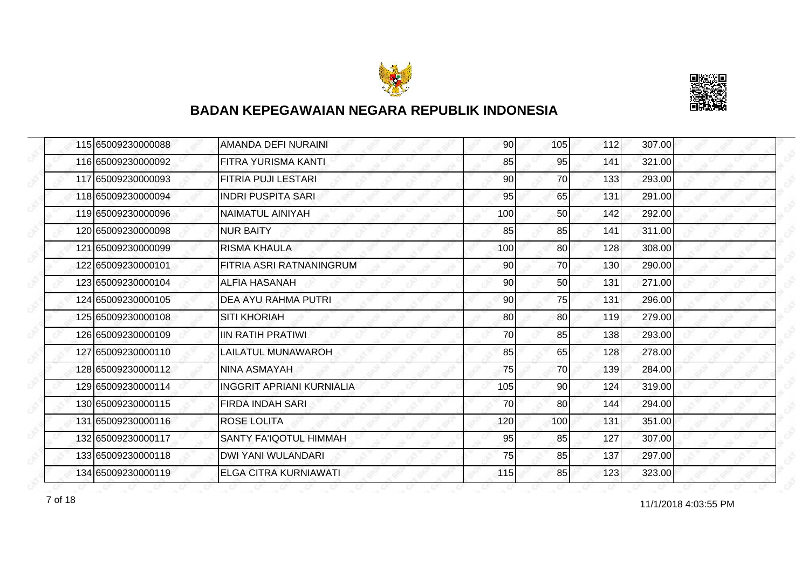



| 115 65009230000088 | AMANDA DEFI NURAINI              | 90  | 105       | 112 | 307.00 |
|--------------------|----------------------------------|-----|-----------|-----|--------|
| 116 65009230000092 | FITRA YURISMA KANTI              | 85  | 95        | 141 | 321.00 |
| 117 65009230000093 | FITRIA PUJI LESTARI              | 90  | 70        | 133 | 293.00 |
| 118 65009230000094 | <b>INDRI PUSPITA SARI</b>        | 95  | 65        | 131 | 291.00 |
| 119 65009230000096 | <b>NAIMATUL AINIYAH</b>          | 100 | 50        | 142 | 292.00 |
| 120 65009230000098 | <b>INUR BAITY</b>                | 85  | 85        | 141 | 311.00 |
| 121 65009230000099 | <b>RISMA KHAULA</b>              | 100 | 80        | 128 | 308.00 |
| 122 65009230000101 | FITRIA ASRI RATNANINGRUM         | 90  | 70        | 130 | 290.00 |
| 123 65009230000104 | <b>ALFIA HASANAH</b>             | 90  | 50        | 131 | 271.00 |
| 124 65009230000105 | IDEA AYU RAHMA PUTRI             | 90  | 75        | 131 | 296.00 |
| 125 65009230000108 | <b>SITI KHORIAH</b>              | 80  | 80        | 119 | 279.00 |
| 126 65009230000109 | <b>IIN RATIH PRATIWI</b>         | 70  | 85        | 138 | 293.00 |
| 127 65009230000110 | LAILATUL MUNAWAROH               | 85  | 65        | 128 | 278.00 |
| 128 65009230000112 | <b>NINA ASMAYAH</b>              | 75  | <b>70</b> | 139 | 284.00 |
| 129 65009230000114 | <b>INGGRIT APRIANI KURNIALIA</b> | 105 | 90        | 124 | 319.00 |
| 130 65009230000115 | FIRDA INDAH SARI                 | 70  | 80        | 144 | 294.00 |
| 131 65009230000116 | <b>ROSE LOLITA</b>               | 120 | 100       | 131 | 351.00 |
| 132 65009230000117 | <b>SANTY FA'IQOTUL HIMMAH</b>    | 95  | 85        | 127 | 307.00 |
| 133 65009230000118 | <b>DWI YANI WULANDARI</b>        | 75  | 85        | 137 | 297.00 |
| 134 65009230000119 | ELGA CITRA KURNIAWATI            | 115 | 85        | 123 | 323.00 |

11/1/2018 4:03:55 PM 7 of 18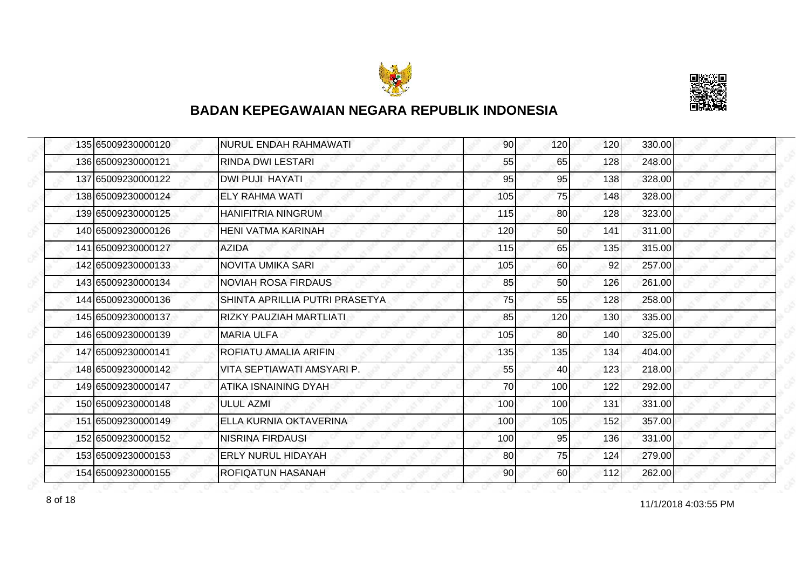



| 135 65009230000120 | NURUL ENDAH RAHMAWATI          | 90  | 120 | 120 | 330.00 |
|--------------------|--------------------------------|-----|-----|-----|--------|
| 136 65009230000121 | <b>RINDA DWI LESTARI</b>       | 55  | 65  | 128 | 248.00 |
| 137 65009230000122 | <b>DWI PUJI HAYATI</b>         | 95  | 95  | 138 | 328.00 |
| 138 65009230000124 | <b>ELY RAHMA WATI</b>          | 105 | 75  | 148 | 328.00 |
| 139 65009230000125 | <b>HANIFITRIA NINGRUM</b>      | 115 | 80  | 128 | 323.00 |
| 140 65009230000126 | IHENI VATMA KARINAH            | 120 | 50  | 141 | 311.00 |
| 141 65009230000127 | <b>AZIDA</b>                   | 115 | 65  | 135 | 315.00 |
| 142 65009230000133 | <b>NOVITA UMIKA SARI</b>       | 105 | 60  | 92  | 257.00 |
| 143 65009230000134 | <b>NOVIAH ROSA FIRDAUS</b>     | 85  | 50  | 126 | 261.00 |
| 144 65009230000136 | SHINTA APRILLIA PUTRI PRASETYA | 75  | 55  | 128 | 258.00 |
| 145 65009230000137 | <b>RIZKY PAUZIAH MARTLIATI</b> | 85  | 120 | 130 | 335.00 |
| 146 65009230000139 | <b>MARIA ULFA</b>              | 105 | 80  | 140 | 325.00 |
| 147165009230000141 | <b>ROFIATU AMALIA ARIFIN</b>   | 135 | 135 | 134 | 404.00 |
| 148 65009230000142 | IVITA SEPTIAWATI AMSYARI P.    | 55  | 40  | 123 | 218.00 |
| 149 65009230000147 | IATIKA ISNAINING DYAH          | 70  | 100 | 122 | 292.00 |
| 150 65009230000148 | <b>ULUL AZMI</b>               | 100 | 100 | 131 | 331.00 |
| 151 65009230000149 | <b>ELLA KURNIA OKTAVERINA</b>  | 100 | 105 | 152 | 357.00 |
| 152 65009230000152 | <b>NISRINA FIRDAUSI</b>        | 100 | 95  | 136 | 331.00 |
| 153 65009230000153 | <b>ERLY NURUL HIDAYAH</b>      | 80  | 75  | 124 | 279.00 |
| 154 65009230000155 | <b>ROFIQATUN HASANAH</b>       | 90  | 60  | 112 | 262.00 |

8 of 18<br>11/1/2018 4:03:55 PM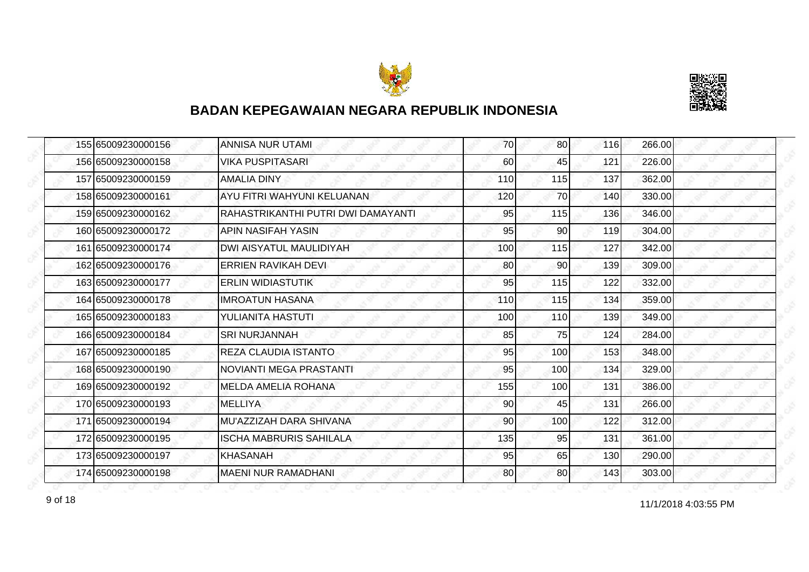



| 155 65009230000156 | ANNISA NUR UTAMI                   | 70  | 80              | 116 | 266.00 |
|--------------------|------------------------------------|-----|-----------------|-----|--------|
| 156 65009230000158 | <b>VIKA PUSPITASARI</b>            | 60  | 45              | 121 | 226.00 |
| 157 65009230000159 | <b>AMALIA DINY</b>                 | 110 | 115             | 137 | 362.00 |
| 158 65009230000161 | AYU FITRI WAHYUNI KELUANAN         | 120 | 70              | 140 | 330.00 |
| 159 65009230000162 | RAHASTRIKANTHI PUTRI DWI DAMAYANTI | 95  | 115             | 136 | 346.00 |
| 160 65009230000172 | IAPIN NASIFAH YASIN                | 95  | 90              | 119 | 304.00 |
| 161 65009230000174 | <b>DWI AISYATUL MAULIDIYAH</b>     | 100 | 115             | 127 | 342.00 |
| 162 65009230000176 | ERRIEN RAVIKAH DEVI                | 80  | 90              | 139 | 309.00 |
| 163 65009230000177 | <b>IERLIN WIDIASTUTIK</b>          | 95  | 115             | 122 | 332.00 |
| 164 65009230000178 | IMROATUN HASANA                    | 110 | 115             | 134 | 359.00 |
| 165 65009230000183 | YULIANITA HASTUTI                  | 100 | 110             | 139 | 349.00 |
| 166 65009230000184 | ISRI NURJANNAH                     | 85  | 75              | 124 | 284.00 |
| 167165009230000185 | <b>REZA CLAUDIA ISTANTO</b>        | 95  | 100             | 153 | 348.00 |
| 168 65009230000190 | NOVIANTI MEGA PRASTANTI            | 95  | 100             | 134 | 329.00 |
| 169 65009230000192 | <b>IMELDA AMELIA ROHANA</b>        | 155 | 100             | 131 | 386.00 |
| 170 65009230000193 | <b>MELLIYA</b>                     | 90  | 45              | 131 | 266.00 |
| 171 65009230000194 | MU'AZZIZAH DARA SHIVANA            | 90  | 100             | 122 | 312.00 |
| 172 65009230000195 | ISCHA MABRURIS SAHILALA            | 135 | 95              | 131 | 361.00 |
| 173 65009230000197 | KHASANAH                           | 95  | 65              | 130 | 290.00 |
| 174 65009230000198 | <b>MAENI NUR RAMADHANI</b>         | 80  | 80 <sup>1</sup> | 143 | 303.00 |

11/1/2018 4:03:55 PM 9 of 18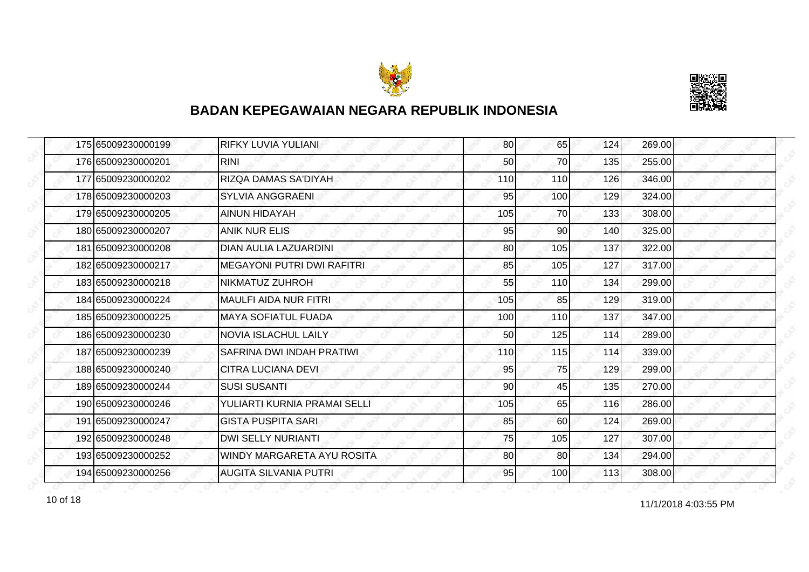



| 175 65009230000199 | RIFKY LUVIA YULIANI               | 80  | 65  | 124 | 269.00 |
|--------------------|-----------------------------------|-----|-----|-----|--------|
| 176 65009230000201 | <b>RINI</b>                       | 50  | 70  | 135 | 255.00 |
| 177 65009230000202 | RIZQA DAMAS SA'DIYAH              | 110 | 110 | 126 | 346.00 |
| 178 65009230000203 | SYLVIA ANGGRAENI                  | 95  | 100 | 129 | 324.00 |
| 179 65009230000205 | <b>AINUN HIDAYAH</b>              | 105 | 70  | 133 | 308.00 |
| 180 65009230000207 | <b>ANIK NUR ELIS</b>              | 95  | 90  | 140 | 325.00 |
| 181 65009230000208 | <b>DIAN AULIA LAZUARDINI</b>      | 80  | 105 | 137 | 322.00 |
| 182 65009230000217 | <b>MEGAYONI PUTRI DWI RAFITRI</b> | 85  | 105 | 127 | 317.00 |
| 183 65009230000218 | NIKMATUZ ZUHROH                   | 55  | 110 | 134 | 299.00 |
| 184 65009230000224 | <b>MAULFI AIDA NUR FITRI</b>      | 105 | 85  | 129 | 319.00 |
| 185 65009230000225 | <b>MAYA SOFIATUL FUADA</b>        | 100 | 110 | 137 | 347.00 |
| 186 65009230000230 | <b>NOVIA ISLACHUL LAILY</b>       | 50  | 125 | 114 | 289.00 |
| 187165009230000239 | SAFRINA DWI INDAH PRATIWI         | 110 | 115 | 114 | 339.00 |
| 188 65009230000240 | <b>CITRA LUCIANA DEVI</b>         | 95  | 75  | 129 | 299.00 |
| 189 65009230000244 | <b>SUSI SUSANTI</b>               | 90  | 45  | 135 | 270.00 |
| 190 65009230000246 | YULIARTI KURNIA PRAMAI SELLI      | 105 | 65  | 116 | 286.00 |
| 191 65009230000247 | <b>GISTA PUSPITA SARI</b>         | 85  | 60  | 124 | 269.00 |
| 192 65009230000248 | <b>DWI SELLY NURIANTI</b>         | 75  | 105 | 127 | 307.00 |
| 193 65009230000252 | WINDY MARGARETA AYU ROSITA        | 80  | 80  | 134 | 294.00 |
| 194 65009230000256 | <b>AUGITA SILVANIA PUTRI</b>      | 95  | 100 | 113 | 308.00 |

10 of 18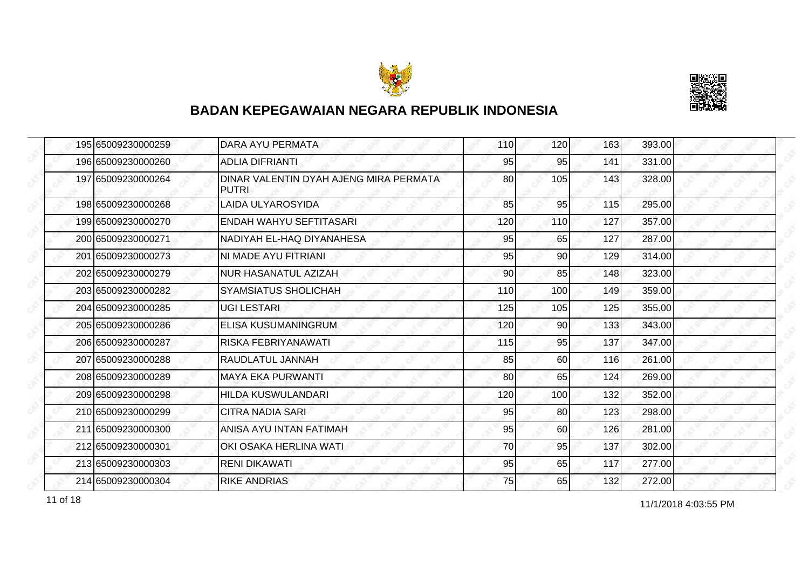



| 195 65009230000259 | DARA AYU PERMATA                                       | 110 | 120 | 163 | 393.00 |
|--------------------|--------------------------------------------------------|-----|-----|-----|--------|
| 196 65009230000260 | <b>ADLIA DIFRIANTI</b>                                 | 95  | 95  | 141 | 331.00 |
| 197 65009230000264 | DINAR VALENTIN DYAH AJENG MIRA PERMATA<br><b>PUTRI</b> | 80  | 105 | 143 | 328.00 |
| 198 65009230000268 | <b>LAIDA ULYAROSYIDA</b>                               | 85  | 95  | 115 | 295.00 |
| 199 65009230000270 | ENDAH WAHYU SEFTITASARI                                | 120 | 110 | 127 | 357.00 |
| 200 65009230000271 | NADIYAH EL-HAQ DIYANAHESA                              | 95  | 65  | 127 | 287.00 |
| 201 65009230000273 | NI MADE AYU FITRIANI                                   | 95  | 90  | 129 | 314.00 |
| 202 65009230000279 | NUR HASANATUL AZIZAH                                   | 90  | 85  | 148 | 323.00 |
| 203 65009230000282 | <b>SYAMSIATUS SHOLICHAH</b>                            | 110 | 100 | 149 | 359.00 |
| 204 65009230000285 | <b>UGI LESTARI</b>                                     | 125 | 105 | 125 | 355.00 |
| 205 65009230000286 | <b>ELISA KUSUMANINGRUM</b>                             | 120 | 90  | 133 | 343.00 |
| 206 65009230000287 | RISKA FEBRIYANAWATI                                    | 115 | 95  | 137 | 347.00 |
| 207165009230000288 | RAUDLATUL JANNAH                                       | 85  | 60  | 116 | 261.00 |
| 208 65009230000289 | <b>MAYA EKA PURWANTI</b>                               | 80  | 65  | 124 | 269.00 |
| 209 65009230000298 | <b>HILDA KUSWULANDARI</b>                              | 120 | 100 | 132 | 352.00 |
| 210 65009230000299 | <b>CITRA NADIA SARI</b>                                | 95  | 80  | 123 | 298.00 |
| 211 65009230000300 | ANISA AYU INTAN FATIMAH                                | 95  | 60  | 126 | 281.00 |
| 212 65009230000301 | OKI OSAKA HERLINA WATI                                 | 70  | 95  | 137 | 302.00 |
| 213 65009230000303 | <b>RENI DIKAWATI</b>                                   | 95  | 65  | 117 | 277.00 |
| 214 65009230000304 | <b>RIKE ANDRIAS</b>                                    | 75  | 65  | 132 | 272.00 |

11/1/2018 4:03:55 PM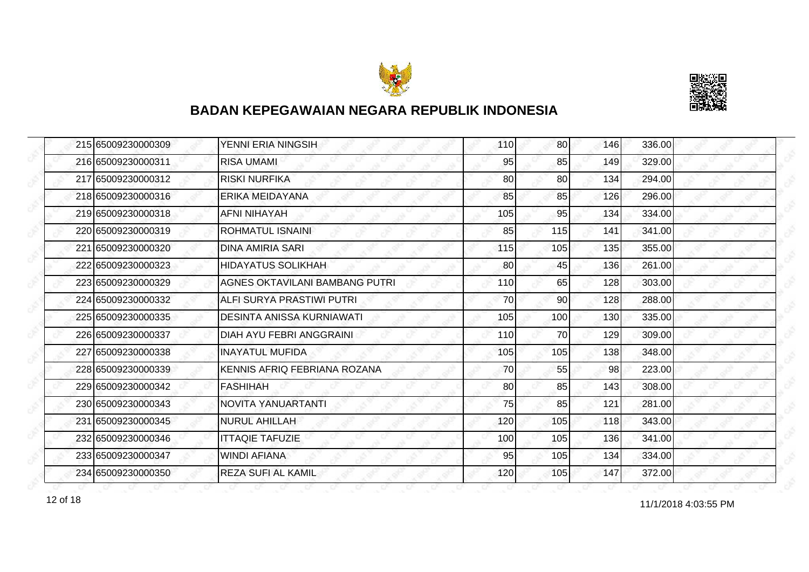



| 215 65009230000309 | YENNI ERIA NINGSIH             | 110 | 80  | 146 | 336.00 |
|--------------------|--------------------------------|-----|-----|-----|--------|
| 216 65009230000311 | <b>RISA UMAMI</b>              | 95  | 85  | 149 | 329.00 |
| 217 65009230000312 | <b>RISKI NURFIKA</b>           | 80  | 80  | 134 | 294.00 |
| 218 65009230000316 | ERIKA MEIDAYANA                | 85  | 85  | 126 | 296.00 |
| 219 65009230000318 | <b>AFNI NIHAYAH</b>            | 105 | 95  | 134 | 334.00 |
| 220 65009230000319 | ROHMATUL ISNAINI               | 85  | 115 | 141 | 341.00 |
| 221165009230000320 | <b>DINA AMIRIA SARI</b>        | 115 | 105 | 135 | 355.00 |
| 222 65009230000323 | <b>HIDAYATUS SOLIKHAH</b>      | 80  | 45  | 136 | 261.00 |
| 223 65009230000329 | AGNES OKTAVILANI BAMBANG PUTRI | 110 | 65  | 128 | 303.00 |
| 224165009230000332 | ALFI SURYA PRASTIWI PUTRI      | 70  | 90  | 128 | 288.00 |
| 225 65009230000335 | DESINTA ANISSA KURNIAWATI      | 105 | 100 | 130 | 335.00 |
| 226 65009230000337 | DIAH AYU FEBRI ANGGRAINI       | 110 | 70  | 129 | 309.00 |
| 227165009230000338 | <b>INAYATUL MUFIDA</b>         | 105 | 105 | 138 | 348.00 |
| 228 65009230000339 | KENNIS AFRIQ FEBRIANA ROZANA   | 70  | 55  | 98  | 223.00 |
| 229 65009230000342 | <b>FASHIHAH</b>                | 80  | 85  | 143 | 308.00 |
| 230165009230000343 | NOVITA YANUARTANTI             | 75  | 85  | 121 | 281.00 |
| 231 65009230000345 | <b>NURUL AHILLAH</b>           | 120 | 105 | 118 | 343.00 |
| 232 65009230000346 | <b>ITTAQIE TAFUZIE</b>         | 100 | 105 | 136 | 341.00 |
| 233165009230000347 | <b>WINDI AFIANA</b>            | 95  | 105 | 134 | 334.00 |
| 234 65009230000350 | <b>REZA SUFI AL KAMIL</b>      | 120 | 105 | 147 | 372.00 |

12 of 18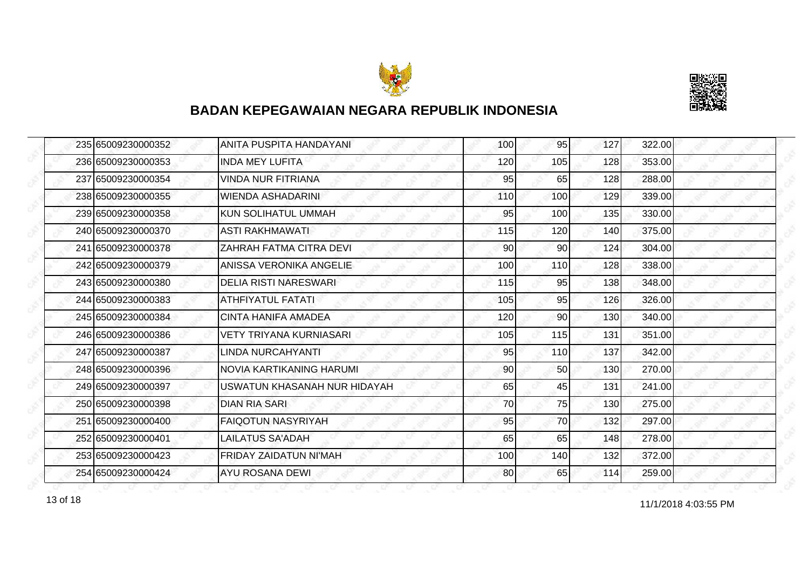



| 235 65009230000352 | ANITA PUSPITA HANDAYANI        | 100 | 95         | 127 | 322.00 |
|--------------------|--------------------------------|-----|------------|-----|--------|
| 236 65009230000353 | <b>INDA MEY LUFITA</b>         | 120 | 105        | 128 | 353.00 |
| 237 65009230000354 | <b>VINDA NUR FITRIANA</b>      | 95  | 65         | 128 | 288.00 |
| 238165009230000355 | <b>WIENDA ASHADARINI</b>       | 110 | 100        | 129 | 339.00 |
| 239 65009230000358 | <b>KUN SOLIHATUL UMMAH</b>     | 95  | 100        | 135 | 330.00 |
| 240 65009230000370 | ASTI RAKHMAWATI                | 115 | 120        | 140 | 375.00 |
| 241 65009230000378 | <b>ZAHRAH FATMA CITRA DEVI</b> | 90  | 90         | 124 | 304.00 |
| 242 65009230000379 | ANISSA VERONIKA ANGELIE        | 100 | <b>110</b> | 128 | 338.00 |
| 243 65009230000380 | <b>DELIA RISTI NARESWARI</b>   | 115 | 95         | 138 | 348.00 |
| 244 65009230000383 | <b>ATHFIYATUL FATATI</b>       | 105 | 95         | 126 | 326.00 |
| 245 65009230000384 | <b>CINTA HANIFA AMADEA</b>     | 120 | 90         | 130 | 340.00 |
| 246 65009230000386 | <b>VETY TRIYANA KURNIASARI</b> | 105 | 115        | 131 | 351.00 |
| 247 65009230000387 | LINDA NURCAHYANTI              | 95  | 110        | 137 | 342.00 |
| 248 65009230000396 | NOVIA KARTIKANING HARUMI       | 90  | 50         | 130 | 270.00 |
| 249 65009230000397 | USWATUN KHASANAH NUR HIDAYAH   | 65  | 45         | 131 | 241.00 |
| 250165009230000398 | DIAN RIA SARI                  | 70  | 75         | 130 | 275.00 |
| 251 65009230000400 | <b>FAIQOTUN NASYRIYAH</b>      | 95  | 70         | 132 | 297.00 |
| 252165009230000401 | LAILATUS SA'ADAH               | 65  | 65         | 148 | 278.00 |
| 253 65009230000423 | FRIDAY ZAIDATUN NI'MAH         | 100 | 140        | 132 | 372.00 |
| 254 65009230000424 | <b>AYU ROSANA DEWI</b>         | 80  | 65         | 114 | 259.00 |

13 of 18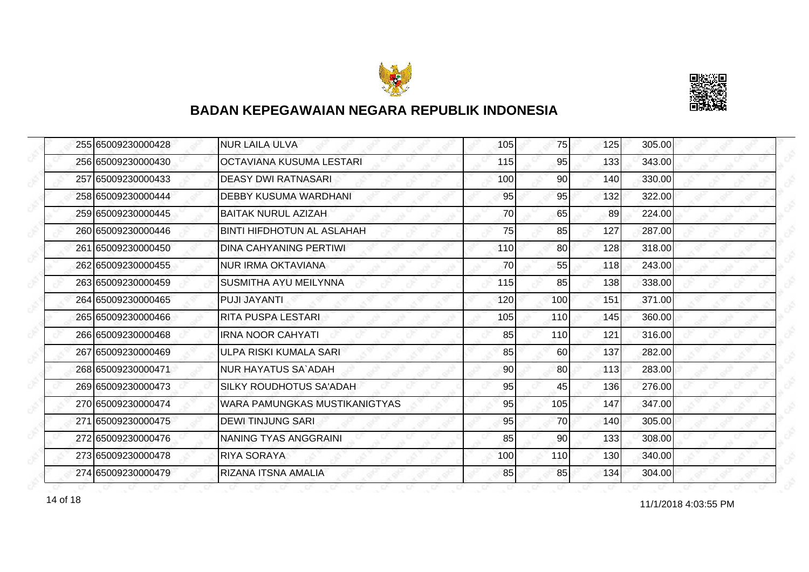



| 255 65009230000428 | NUR LAILA ULVA                 | 105 | 75  | 125 | 305.00 |
|--------------------|--------------------------------|-----|-----|-----|--------|
| 256 65009230000430 | IOCTAVIANA KUSUMA LESTARI      | 115 | 95  | 133 | 343.00 |
| 257 65009230000433 | DEASY DWI RATNASARI            | 100 | 90  | 140 | 330.00 |
| 258 65009230000444 | <b>DEBBY KUSUMA WARDHANI</b>   | 95  | 95  | 132 | 322.00 |
| 259 65009230000445 | <b>BAITAK NURUL AZIZAH</b>     | 70  | 65  | 89  | 224.00 |
| 260 65009230000446 | BINTI HIFDHOTUN AL ASLAHAH     | 75  | 85  | 127 | 287.00 |
| 261 65009230000450 | DINA CAHYANING PERTIWI         | 110 | 80  | 128 | 318.00 |
| 262 65009230000455 | NUR IRMA OKTAVIANA             | 70  | 55  | 118 | 243.00 |
| 263 65009230000459 | <b>ISUSMITHA AYU MEILYNNA</b>  | 115 | 85  | 138 | 338.00 |
| 264 65009230000465 | IPUJI JAYANTI                  | 120 | 100 | 151 | 371.00 |
| 265 65009230000466 | <b>RITA PUSPA LESTARI</b>      | 105 | 110 | 145 | 360.00 |
| 266 65009230000468 | IIRNA NOOR CAHYATI             | 85  | 110 | 121 | 316.00 |
| 267165009230000469 | ULPA RISKI KUMALA SARI         | 85  | 60  | 137 | 282.00 |
| 268 65009230000471 | NUR HAYATUS SA`ADAH            | 90  | 80  | 113 | 283.00 |
| 269 65009230000473 | <b>SILKY ROUDHOTUS SA'ADAH</b> | 95  | 45  | 136 | 276.00 |
| 270 65009230000474 | WARA PAMUNGKAS MUSTIKANIGTYAS  | 95  | 105 | 147 | 347.00 |
| 271 65009230000475 | <b>DEWI TINJUNG SARI</b>       | 95  | 70  | 140 | 305.00 |
| 272 65009230000476 | <b>NANING TYAS ANGGRAINI</b>   | 85  | 90  | 133 | 308.00 |
| 273165009230000478 | <b>RIYA SORAYA</b>             | 100 | 110 | 130 | 340.00 |
| 274 65009230000479 | RIZANA ITSNA AMALIA            | 85  | 85  | 134 | 304.00 |

11/1/2018 4:03:55 PM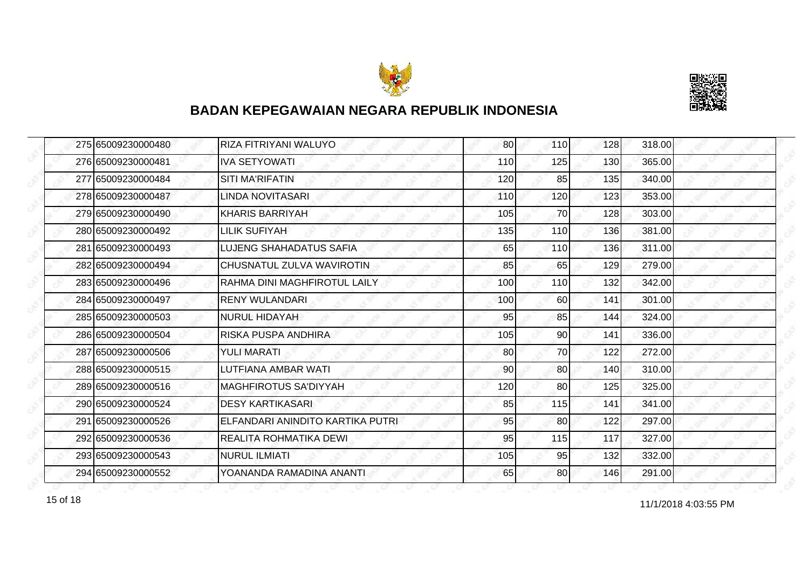



| 275 65009230000480 | RIZA FITRIYANI WALUYO            | 80  | 110             | 128 | 318.00 |
|--------------------|----------------------------------|-----|-----------------|-----|--------|
| 276 65009230000481 | <b>IVA SETYOWATI</b>             | 110 | 125             | 130 | 365.00 |
| 277 65009230000484 | <b>SITI MA'RIFATIN</b>           | 120 | 85              | 135 | 340.00 |
| 278165009230000487 | LINDA NOVITASARI                 | 110 | 120             | 123 | 353.00 |
| 279 65009230000490 | <b>KHARIS BARRIYAH</b>           | 105 | 70              | 128 | 303.00 |
| 280 65009230000492 | <b>LILIK SUFIYAH</b>             | 135 | 110             | 136 | 381.00 |
| 281 65009230000493 | <b>ILUJENG SHAHADATUS SAFIA</b>  | 65  | 110             | 136 | 311.00 |
| 282 65009230000494 | ICHUSNATUL ZULVA WAVIROTIN       | 85  | 65              | 129 | 279.00 |
| 283 65009230000496 | IRAHMA DINI MAGHFIROTUL LAILY    | 100 | 110             | 132 | 342.00 |
| 284 65009230000497 | <b>RENY WULANDARI</b>            | 100 | 60              | 141 | 301.00 |
| 285 65009230000503 | <b>NURUL HIDAYAH</b>             | 95  | 85              | 144 | 324.00 |
| 286 65009230000504 | IRISKA PUSPA ANDHIRA             | 105 | 90              | 141 | 336.00 |
| 287 65009230000506 | <b>YULI MARATI</b>               | 80  | 70              | 122 | 272.00 |
| 288165009230000515 | LUTFIANA AMBAR WATI              | 90  | 80              | 140 | 310.00 |
| 289 65009230000516 | <b>MAGHFIROTUS SA'DIYYAH</b>     | 120 | 80              | 125 | 325.00 |
| 290165009230000524 | <b>DESY KARTIKASARI</b>          | 85  | 115             | 141 | 341.00 |
| 291 65009230000526 | ELFANDARI ANINDITO KARTIKA PUTRI | 95  | 80              | 122 | 297.00 |
| 292165009230000536 | REALITA ROHMATIKA DEWI           | 95  | 115             | 117 | 327.00 |
| 293 65009230000543 | NURUL ILMIATI                    | 105 | 95              | 132 | 332.00 |
| 294 65009230000552 | YOANANDA RAMADINA ANANTI         | 65  | 80 <sup>1</sup> | 146 | 291.00 |

11/1/2018 4:03:55 PM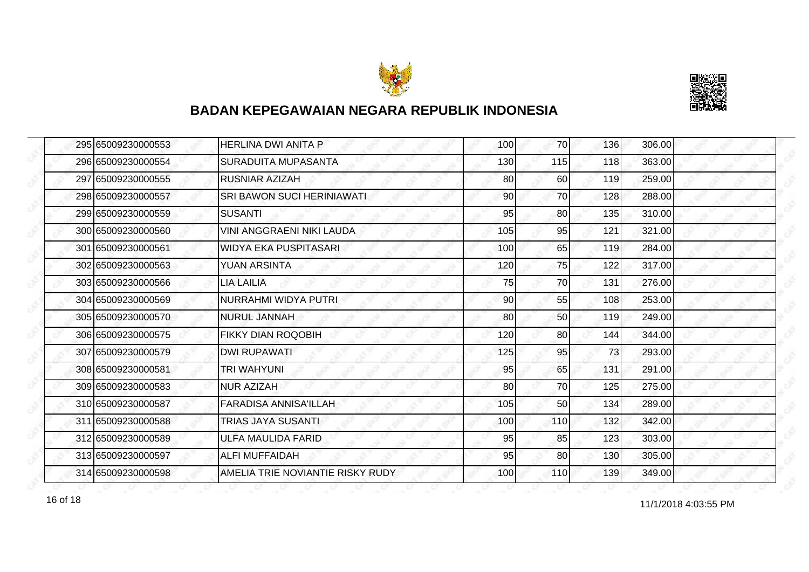



| 295 65009230000553 | <b>HERLINA DWI ANITA P</b>       | 100 | 70  | 136 | 306.00 |
|--------------------|----------------------------------|-----|-----|-----|--------|
| 296 65009230000554 | <b>SURADUITA MUPASANTA</b>       | 130 | 115 | 118 | 363.00 |
| 297 65009230000555 | <b>RUSNIAR AZIZAH</b>            | 80  | 60  | 119 | 259.00 |
| 298 65009230000557 | SRI BAWON SUCI HERINIAWATI       | 90  | 70  | 128 | 288.00 |
| 299 65009230000559 | <b>SUSANTI</b>                   | 95  | 80  | 135 | 310.00 |
| 300 65009230000560 | VINI ANGGRAENI NIKI LAUDA        | 105 | 95  | 121 | 321.00 |
| 301 65009230000561 | <b>WIDYA EKA PUSPITASARI</b>     | 100 | 65  | 119 | 284.00 |
| 302 65009230000563 | <b>YUAN ARSINTA</b>              | 120 | 75  | 122 | 317.00 |
| 303 65009230000566 | <b>LIA LAILIA</b>                | 75  | 70  | 131 | 276.00 |
| 304165009230000569 | NURRAHMI WIDYA PUTRI             | 90  | 55  | 108 | 253.00 |
| 305 65009230000570 | <b>NURUL JANNAH</b>              | 80  | 50  | 119 | 249.00 |
| 306 65009230000575 | FIKKY DIAN ROQOBIH               | 120 | 80  | 144 | 344.00 |
| 307165009230000579 | <b>DWI RUPAWATI</b>              | 125 | 95  | 73  | 293.00 |
| 308 65009230000581 | <b>TRI WAHYUNI</b>               | 95  | 65  | 131 | 291.00 |
| 309 65009230000583 | <b>NUR AZIZAH</b>                | 80  | 70  | 125 | 275.00 |
| 310 65009230000587 | <b>FARADISA ANNISA'ILLAH</b>     | 105 | 50  | 134 | 289.00 |
| 311 65009230000588 | <b>TRIAS JAYA SUSANTI</b>        | 100 | 110 | 132 | 342.00 |
| 312 65009230000589 | ULFA MAULIDA FARID               | 95  | 85  | 123 | 303.00 |
| 313 65009230000597 | <b>ALFI MUFFAIDAH</b>            | 95  | 80  | 130 | 305.00 |
| 314 65009230000598 | AMELIA TRIE NOVIANTIE RISKY RUDY | 100 | 110 | 139 | 349.00 |

16 of 18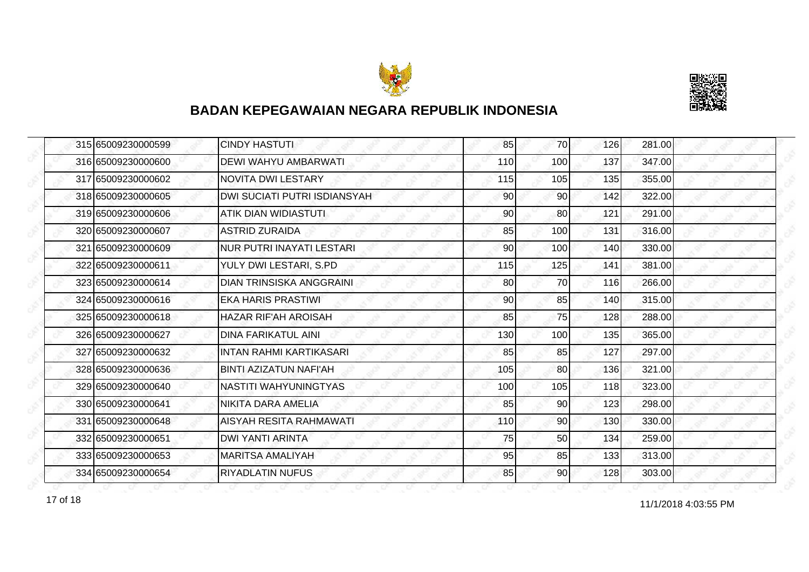



| 315 65009230000599 | <b>CINDY HASTUTI</b>                | 85  | 70              | 126 | 281.00 |
|--------------------|-------------------------------------|-----|-----------------|-----|--------|
| 316 65009230000600 | <b>DEWI WAHYU AMBARWATI</b>         | 110 | 100             | 137 | 347.00 |
| 317 65009230000602 | <b>NOVITA DWI LESTARY</b>           | 115 | 105             | 135 | 355.00 |
| 318 65009230000605 | <b>DWI SUCIATI PUTRI ISDIANSYAH</b> | 90  | 90              | 142 | 322.00 |
| 319 65009230000606 | <b>ATIK DIAN WIDIASTUTI</b>         | 90  | 80              | 121 | 291.00 |
| 320 65009230000607 | ASTRID ZURAIDA                      | 85  | 100             | 131 | 316.00 |
| 321165009230000609 | INUR PUTRI INAYATI LESTARI          | 90  | 100             | 140 | 330.00 |
| 322 65009230000611 | YULY DWI LESTARI, S.PD              | 115 | 125             | 141 | 381.00 |
| 323 65009230000614 | <b>DIAN TRINSISKA ANGGRAINI</b>     | 80  | 70              | 116 | 266.00 |
| 324 65009230000616 | IEKA HARIS PRASTIWI                 | 90  | 85              | 140 | 315.00 |
| 325 65009230000618 | HAZAR RIF'AH AROISAH                | 85  | 75              | 128 | 288.00 |
| 326 65009230000627 | IDINA FARIKATUL AINI                | 130 | 100             | 135 | 365.00 |
| 327 65009230000632 | IINTAN RAHMI KARTIKASARI            | 85  | 85              | 127 | 297.00 |
| 328 65009230000636 | <b>BINTI AZIZATUN NAFI'AH</b>       | 105 | 80              | 136 | 321.00 |
| 329 65009230000640 | INASTITI WAHYUNINGTYAS              | 100 | 105             | 118 | 323.00 |
| 330165009230000641 | NIKITA DARA AMELIA                  | 85  | 90              | 123 | 298.00 |
| 331 65009230000648 | <b>AISYAH RESITA RAHMAWATI</b>      | 110 | 90              | 130 | 330.00 |
| 332 65009230000651 | <b>DWI YANTI ARINTA</b>             | 75  | 50              | 134 | 259.00 |
| 333 65009230000653 | <b>MARITSA AMALIYAH</b>             | 95  | 85              | 133 | 313.00 |
| 334 65009230000654 | <b>RIYADLATIN NUFUS</b>             | 85  | 90 <sub>l</sub> | 128 | 303.00 |

11/1/2018 4:03:55 PM